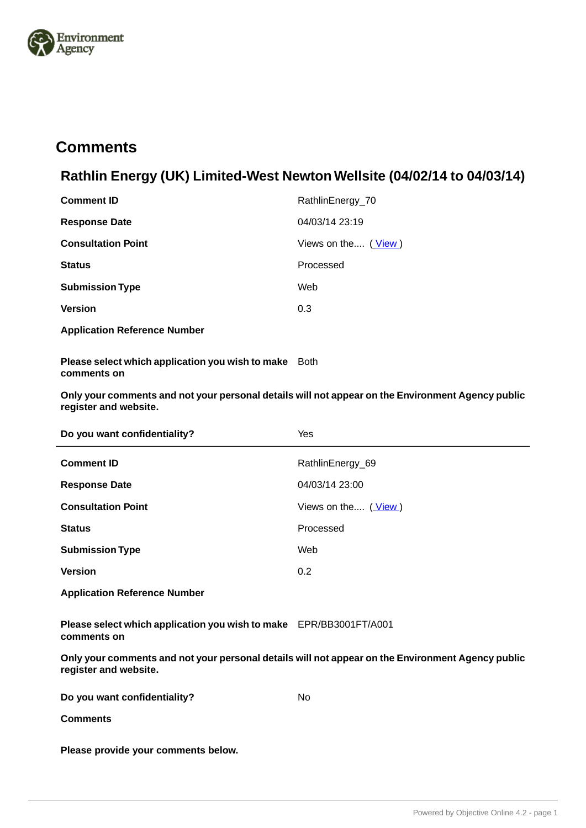

# **Comments.**

# **Rathlin Energy (UK) Limited-West Newton Wellsite (04/02/14 to 04/03/14)**

| <b>Comment ID</b>         | RathlinEnergy_70    |
|---------------------------|---------------------|
| <b>Response Date</b>      | 04/03/14 23:19      |
| <b>Consultation Point</b> | Views on the (View) |
| <b>Status</b>             | Processed           |
| <b>Submission Type</b>    | Web                 |
| <b>Version</b>            | 0.3                 |
|                           |                     |

**Application Reference Number**

**Please select which application you wish to make** Both **comments on**

**Only your comments and not your personal details will not appear on the Environment Agency public register and website.**

| Do you want confidentiality? | Yes                 |
|------------------------------|---------------------|
| <b>Comment ID</b>            | RathlinEnergy_69    |
| <b>Response Date</b>         | 04/03/14 23:00      |
| <b>Consultation Point</b>    | Views on the (View) |
| <b>Status</b>                | Processed           |
| <b>Submission Type</b>       | Web                 |
| <b>Version</b>               | 0.2                 |
|                              |                     |

**Application Reference Number**

**Please select which application you wish to make** EPR/BB3001FT/A001 **comments on**

| Do you want confidentiality?        | Nο |
|-------------------------------------|----|
| <b>Comments</b>                     |    |
| Please provide your comments below. |    |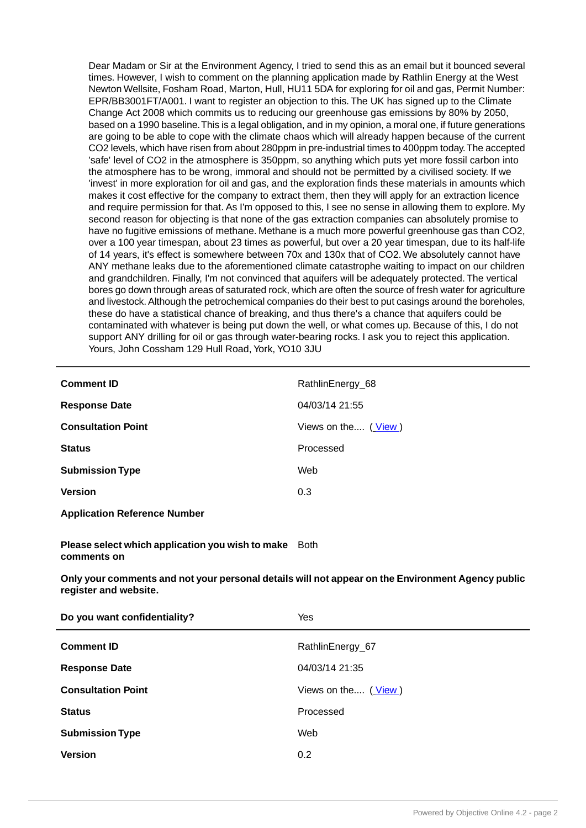Dear Madam or Sir at the Environment Agency, I tried to send this as an email but it bounced several times. However, I wish to comment on the planning application made by Rathlin Energy at the West Newton Wellsite, Fosham Road, Marton, Hull, HU11 5DA for exploring for oil and gas, Permit Number: EPR/BB3001FT/A001. I want to register an objection to this. The UK has signed up to the Climate Change Act 2008 which commits us to reducing our greenhouse gas emissions by 80% by 2050, based on a 1990 baseline.This is a legal obligation, and in my opinion, a moral one, if future generations are going to be able to cope with the climate chaos which will already happen because of the current CO2 levels, which have risen from about 280ppm in pre-industrial times to 400ppm today.The accepted 'safe' level of CO2 in the atmosphere is 350ppm, so anything which puts yet more fossil carbon into the atmosphere has to be wrong, immoral and should not be permitted by a civilised society. If we 'invest' in more exploration for oil and gas, and the exploration finds these materials in amounts which makes it cost effective for the company to extract them, then they will apply for an extraction licence and require permission for that. As I'm opposed to this, I see no sense in allowing them to explore. My second reason for objecting is that none of the gas extraction companies can absolutely promise to have no fugitive emissions of methane. Methane is a much more powerful greenhouse gas than CO2, over a 100 year timespan, about 23 times as powerful, but over a 20 year timespan, due to its half-life of 14 years, it's effect is somewhere between 70x and 130x that of CO2. We absolutely cannot have ANY methane leaks due to the aforementioned climate catastrophe waiting to impact on our children and grandchildren. Finally, I'm not convinced that aquifers will be adequately protected. The vertical bores go down through areas of saturated rock, which are often the source of fresh water for agriculture and livestock. Although the petrochemical companies do their best to put casings around the boreholes, these do have a statistical chance of breaking, and thus there's a chance that aquifers could be contaminated with whatever is being put down the well, or what comes up. Because of this, I do not support ANY drilling for oil or gas through water-bearing rocks. I ask you to reject this application. Yours, John Cossham 129 Hull Road, York, YO10 3JU

| <b>Comment ID</b>                   | RathlinEnergy_68    |
|-------------------------------------|---------------------|
| <b>Response Date</b>                | 04/03/14 21:55      |
| <b>Consultation Point</b>           | Views on the (View) |
| <b>Status</b>                       | Processed           |
| <b>Submission Type</b>              | Web                 |
| <b>Version</b>                      | 0.3                 |
| <b>Application Reference Number</b> |                     |

**Please select which application you wish to make** Both **comments on**

| Do you want confidentiality? | Yes                 |
|------------------------------|---------------------|
| <b>Comment ID</b>            | RathlinEnergy_67    |
| <b>Response Date</b>         | 04/03/14 21:35      |
| <b>Consultation Point</b>    | Views on the (View) |
| <b>Status</b>                | Processed           |
| <b>Submission Type</b>       | Web                 |
| <b>Version</b>               | 0.2                 |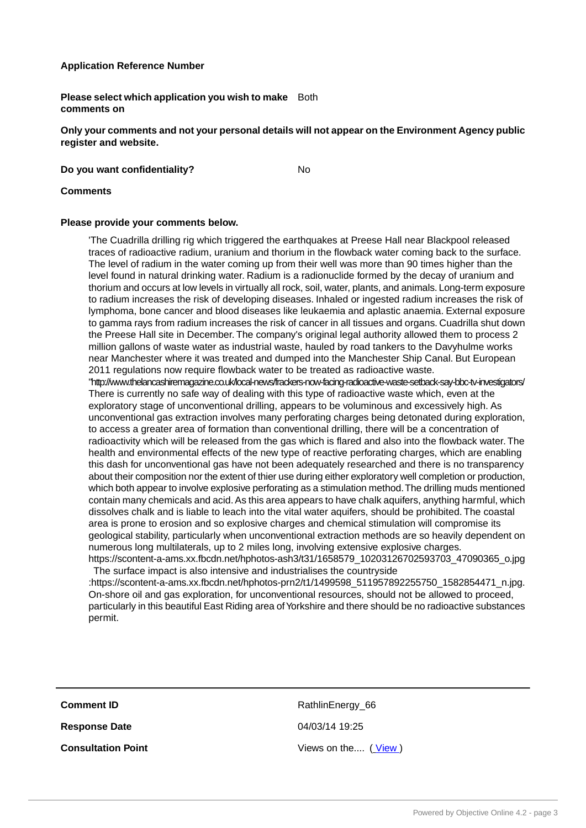### **Application Reference Number**

**Please select which application you wish to make** Both **comments on**

**Only your comments and not your personal details will not appear on the Environment Agency public register and website.**

**Do you want confidentiality?** No

#### **Comments**

#### **Please provide your comments below.**

'The Cuadrilla drilling rig which triggered the earthquakes at Preese Hall near Blackpool released traces of radioactive radium, uranium and thorium in the flowback water coming back to the surface. The level of radium in the water coming up from their well was more than 90 times higher than the level found in natural drinking water. Radium is a radionuclide formed by the decay of uranium and thorium and occurs at low levels in virtually all rock, soil, water, plants, and animals. Long-term exposure to radium increases the risk of developing diseases. Inhaled or ingested radium increases the risk of lymphoma, bone cancer and blood diseases like leukaemia and aplastic anaemia. External exposure to gamma rays from radium increases the risk of cancer in all tissues and organs. Cuadrilla shut down the Preese Hall site in December. The company's original legal authority allowed them to process 2 million gallons of waste water as industrial waste, hauled by road tankers to the Davyhulme works near Manchester where it was treated and dumped into the Manchester Ship Canal. But European 2011 regulations now require flowback water to be treated as radioactive waste. "http://www.thelancashiremagazine.co.uk/local-news/frackers-now-facing-radioactive-waste-setback-say-bbc-tv-investigators/ There is currently no safe way of dealing with this type of radioactive waste which, even at the exploratory stage of unconventional drilling, appears to be voluminous and excessively high. As unconventional gas extraction involves many perforating charges being detonated during exploration, to access a greater area of formation than conventional drilling, there will be a concentration of radioactivity which will be released from the gas which is flared and also into the flowback water. The health and environmental effects of the new type of reactive perforating charges, which are enabling this dash for unconventional gas have not been adequately researched and there is no transparency about their composition nor the extent of thier use during either exploratory well completion or production, which both appear to involve explosive perforating as a stimulation method.The drilling muds mentioned contain many chemicals and acid. As this area appears to have chalk aquifers, anything harmful, which dissolves chalk and is liable to leach into the vital water aquifers, should be prohibited. The coastal area is prone to erosion and so explosive charges and chemical stimulation will compromise its geological stability, particularly when unconventional extraction methods are so heavily dependent on

numerous long multilaterals, up to 2 miles long, involving extensive explosive charges. https://scontent-a-ams.xx.fbcdn.net/hphotos-ash3/t31/1658579\_10203126702593703\_47090365\_o.jpg The surface impact is also intensive and industrialises the countryside

:https://scontent-a-ams.xx.fbcdn.net/hphotos-prn2/t1/1499598\_511957892255750\_1582854471\_n.jpg. On-shore oil and gas exploration, for unconventional resources, should not be allowed to proceed, particularly in this beautiful East Riding area of Yorkshire and there should be no radioactive substances permit.

**Comment ID** RathlinEnergy 66 **Response Date** 04/03/14 19:25

**Consultation Point** Consultation Point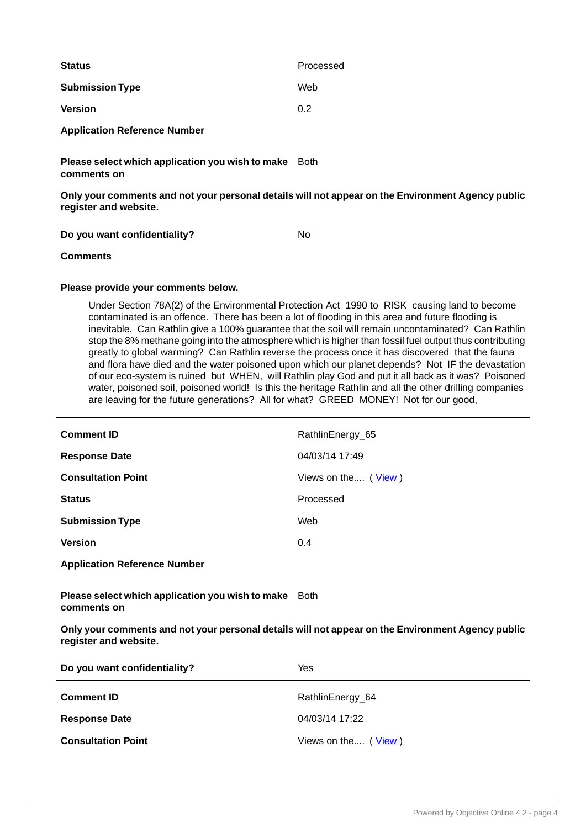| <b>Status</b>                       | Processed |
|-------------------------------------|-----------|
| <b>Submission Type</b>              | Web       |
| <b>Version</b>                      | 0.2       |
| <b>Application Reference Number</b> |           |

**Please select which application you wish to make** Both **comments on**

**Only your comments and not your personal details will not appear on the Environment Agency public register and website.**

**Do you want confidentiality?** No

**Comments**

### **Please provide your comments below.**

Under Section 78A(2) of the Environmental Protection Act 1990 to RISK causing land to become contaminated is an offence. There has been a lot of flooding in this area and future flooding is inevitable. Can Rathlin give a 100% guarantee that the soil will remain uncontaminated? Can Rathlin stop the 8% methane going into the atmosphere which is higher than fossil fuel output thus contributing greatly to global warming? Can Rathlin reverse the process once it has discovered that the fauna and flora have died and the water poisoned upon which our planet depends? Not IF the devastation of our eco-system is ruined but WHEN, will Rathlin play God and put it all back as it was? Poisoned water, poisoned soil, poisoned world! Is this the heritage Rathlin and all the other drilling companies are leaving for the future generations? All for what? GREED MONEY! Not for our good,

| <b>Comment ID</b>                   | RathlinEnergy_65    |
|-------------------------------------|---------------------|
| <b>Response Date</b>                | 04/03/14 17:49      |
| <b>Consultation Point</b>           | Views on the (View) |
| <b>Status</b>                       | Processed           |
| <b>Submission Type</b>              | Web                 |
| <b>Version</b>                      | 0.4                 |
| <b>Application Reference Number</b> |                     |

**Please select which application you wish to make** Both **comments on**

| Do you want confidentiality? | Yes                 |
|------------------------------|---------------------|
| <b>Comment ID</b>            | RathlinEnergy_64    |
| <b>Response Date</b>         | 04/03/14 17:22      |
| <b>Consultation Point</b>    | Views on the (View) |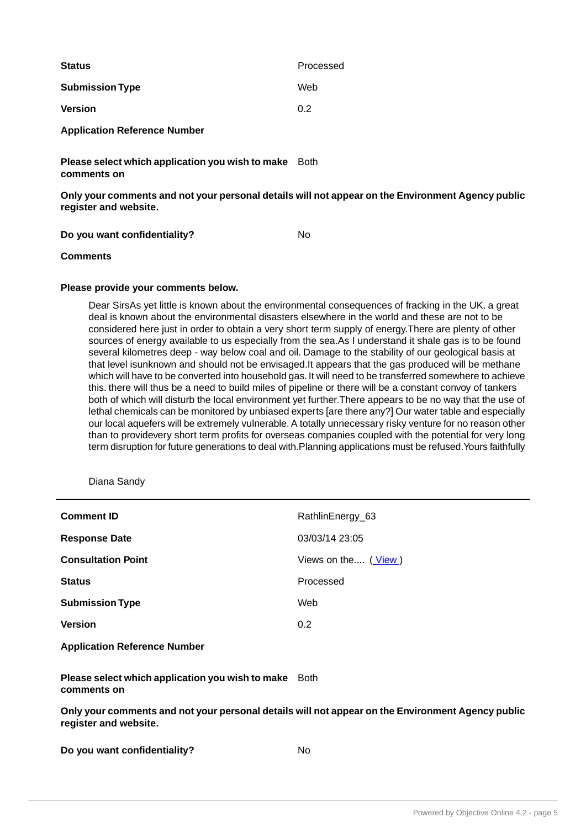| <b>Status</b>                       | Processed |
|-------------------------------------|-----------|
| <b>Submission Type</b>              | Web       |
| <b>Version</b>                      | 0.2       |
| <b>Application Reference Number</b> |           |

**Please select which application you wish to make** Both **comments on**

**Only your comments and not your personal details will not appear on the Environment Agency public register and website.**

**Do you want confidentiality?** No

**Comments**

#### **Please provide your comments below.**

Dear SirsAs yet little is known about the environmental consequences of fracking in the UK. a great deal is known about the environmental disasters elsewhere in the world and these are not to be considered here just in order to obtain a very short term supply of energy.There are plenty of other sources of energy available to us especially from the sea.As I understand it shale gas is to be found several kilometres deep - way below coal and oil. Damage to the stability of our geological basis at that level isunknown and should not be envisaged.It appears that the gas produced will be methane which will have to be converted into household gas. It will need to be transferred somewhere to achieve this. there will thus be a need to build miles of pipeline or there will be a constant convoy of tankers both of which will disturb the local environment yet further.There appears to be no way that the use of lethal chemicals can be monitored by unbiased experts [are there any?] Our water table and especially our local aquefers will be extremely vulnerable. A totally unnecessary risky venture for no reason other than to providevery short term profits for overseas companies coupled with the potential for very long term disruption for future generations to deal with.Planning applications must be refused.Yours faithfully

Diana Sandy

| <b>Comment ID</b>                   | RathlinEnergy_63    |
|-------------------------------------|---------------------|
| <b>Response Date</b>                | 03/03/14 23:05      |
| <b>Consultation Point</b>           | Views on the (View) |
| <b>Status</b>                       | Processed           |
| <b>Submission Type</b>              | Web                 |
| <b>Version</b>                      | 0.2                 |
| <b>Application Reference Number</b> |                     |

**Please select which application you wish to make** Both **comments on**

|  | Do you want confidentiality? | No |
|--|------------------------------|----|
|--|------------------------------|----|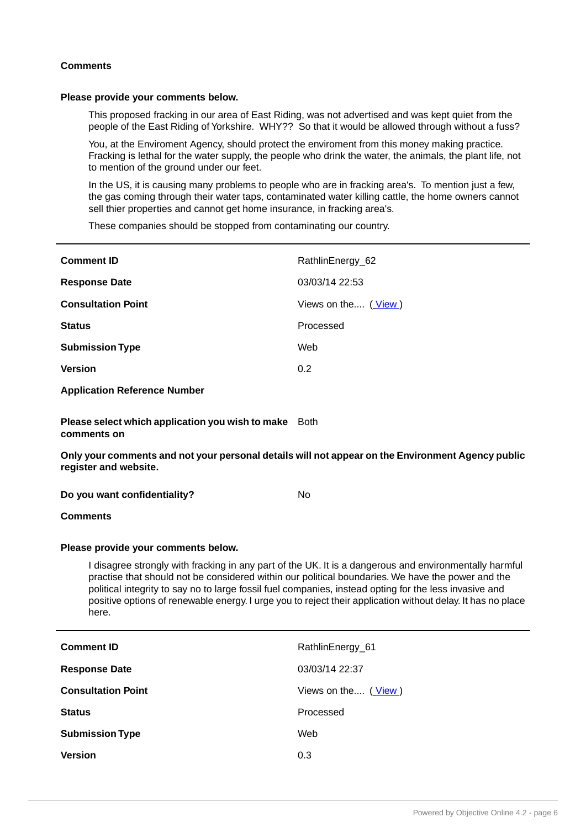#### **Comments**

#### **Please provide your comments below.**

This proposed fracking in our area of East Riding, was not advertised and was kept quiet from the people of the East Riding of Yorkshire. WHY?? So that it would be allowed through without a fuss?

You, at the Enviroment Agency, should protect the enviroment from this money making practice. Fracking is lethal for the water supply, the people who drink the water, the animals, the plant life, not to mention of the ground under our feet.

In the US, it is causing many problems to people who are in fracking area's. To mention just a few, the gas coming through their water taps, contaminated water killing cattle, the home owners cannot sell thier properties and cannot get home insurance, in fracking area's.

These companies should be stopped from contaminating our country.

| <b>Comment ID</b>                                                                                                                                                                                                                                                                                                                                                                                                                             | RathlinEnergy_62    |  |
|-----------------------------------------------------------------------------------------------------------------------------------------------------------------------------------------------------------------------------------------------------------------------------------------------------------------------------------------------------------------------------------------------------------------------------------------------|---------------------|--|
| <b>Response Date</b>                                                                                                                                                                                                                                                                                                                                                                                                                          | 03/03/14 22:53      |  |
| <b>Consultation Point</b>                                                                                                                                                                                                                                                                                                                                                                                                                     | Views on the (View) |  |
| <b>Status</b>                                                                                                                                                                                                                                                                                                                                                                                                                                 | Processed           |  |
| <b>Submission Type</b>                                                                                                                                                                                                                                                                                                                                                                                                                        | Web                 |  |
| <b>Version</b>                                                                                                                                                                                                                                                                                                                                                                                                                                | 0.2                 |  |
| <b>Application Reference Number</b>                                                                                                                                                                                                                                                                                                                                                                                                           |                     |  |
| Please select which application you wish to make<br>comments on                                                                                                                                                                                                                                                                                                                                                                               | <b>Both</b>         |  |
| Only your comments and not your personal details will not appear on the Environment Agency public<br>register and website.                                                                                                                                                                                                                                                                                                                    |                     |  |
| Do you want confidentiality?                                                                                                                                                                                                                                                                                                                                                                                                                  | <b>No</b>           |  |
| <b>Comments</b>                                                                                                                                                                                                                                                                                                                                                                                                                               |                     |  |
| Please provide your comments below.                                                                                                                                                                                                                                                                                                                                                                                                           |                     |  |
| I disagree strongly with fracking in any part of the UK. It is a dangerous and environmentally harmful<br>practise that should not be considered within our political boundaries. We have the power and the<br>political integrity to say no to large fossil fuel companies, instead opting for the less invasive and<br>positive options of renewable energy. I urge you to reject their application without delay. It has no place<br>here. |                     |  |

| <b>Comment ID</b>         | RathlinEnergy_61    |
|---------------------------|---------------------|
| <b>Response Date</b>      | 03/03/14 22:37      |
| <b>Consultation Point</b> | Views on the (View) |
| <b>Status</b>             | Processed           |
| <b>Submission Type</b>    | Web                 |
| <b>Version</b>            | 0.3                 |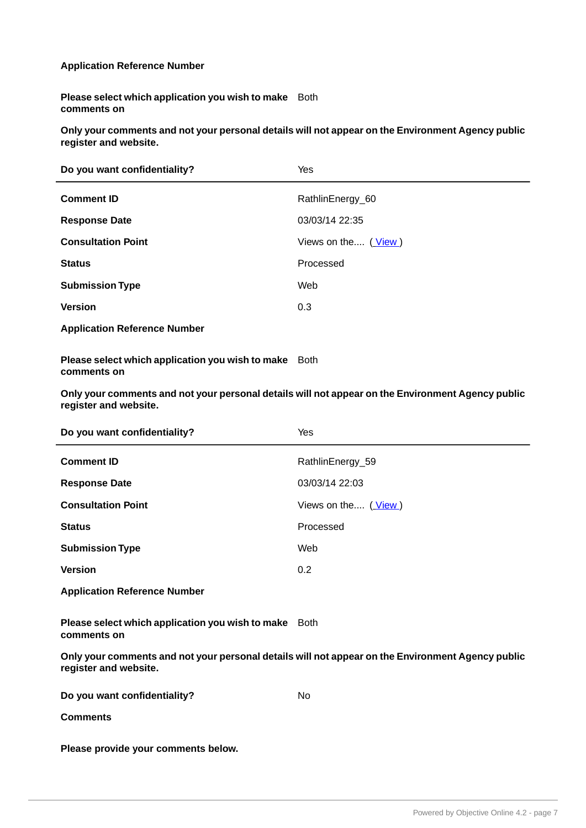## **Application Reference Number**

**Please select which application you wish to make** Both **comments on**

**Only your comments and not your personal details will not appear on the Environment Agency public register and website.**

| Do you want confidentiality?        | Yes                                      |
|-------------------------------------|------------------------------------------|
| <b>Comment ID</b>                   | RathlinEnergy_60                         |
| <b>Response Date</b>                | 03/03/14 22:35                           |
| <b>Consultation Point</b>           | Views on the $(\underline{\text{View}})$ |
| <b>Status</b>                       | Processed                                |
| <b>Submission Type</b>              | Web                                      |
| <b>Version</b>                      | 0.3                                      |
| <b>Application Reference Number</b> |                                          |

**Please select which application you wish to make** Both **comments on**

**Only your comments and not your personal details will not appear on the Environment Agency public register and website.**

| Do you want confidentiality? | Yes                 |
|------------------------------|---------------------|
| <b>Comment ID</b>            | RathlinEnergy_59    |
| <b>Response Date</b>         | 03/03/14 22:03      |
| <b>Consultation Point</b>    | Views on the (View) |
| <b>Status</b>                | Processed           |
| <b>Submission Type</b>       | Web                 |
| <b>Version</b>               | 0.2                 |
|                              |                     |

**Application Reference Number**

**Please select which application you wish to make** Both **comments on**

**Only your comments and not your personal details will not appear on the Environment Agency public register and website.**

| Do you want confidentiality? | No |
|------------------------------|----|
| <b>Comments</b>              |    |

**Please provide your comments below.**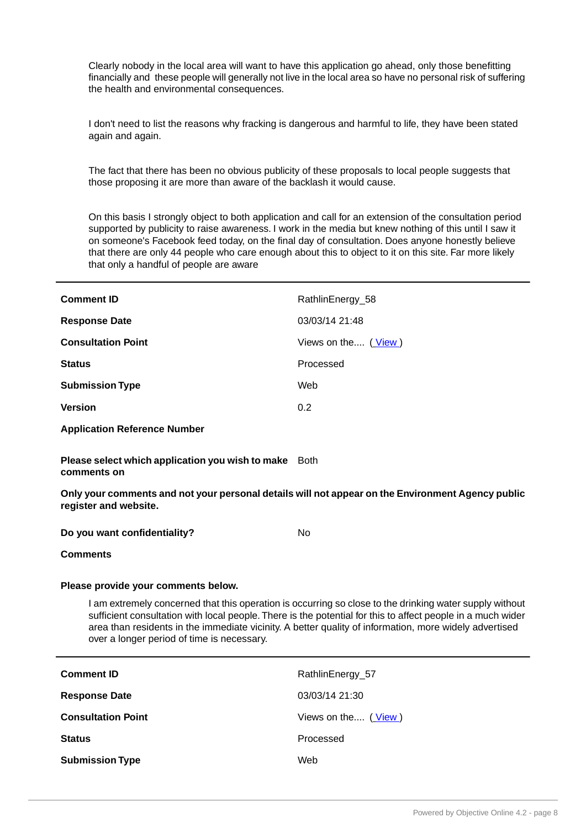Clearly nobody in the local area will want to have this application go ahead, only those benefitting financially and these people will generally not live in the local area so have no personal risk of suffering the health and environmental consequences.

I don't need to list the reasons why fracking is dangerous and harmful to life, they have been stated again and again.

The fact that there has been no obvious publicity of these proposals to local people suggests that those proposing it are more than aware of the backlash it would cause.

On this basis I strongly object to both application and call for an extension of the consultation period supported by publicity to raise awareness. I work in the media but knew nothing of this until I saw it on someone's Facebook feed today, on the final day of consultation. Does anyone honestly believe that there are only 44 people who care enough about this to object to it on this site. Far more likely that only a handful of people are aware

| <b>Comment ID</b>         | RathlinEnergy_58    |
|---------------------------|---------------------|
| <b>Response Date</b>      | 03/03/14 21:48      |
| <b>Consultation Point</b> | Views on the (View) |
| <b>Status</b>             | Processed           |
| <b>Submission Type</b>    | Web                 |
| <b>Version</b>            | 0.2                 |
|                           |                     |

**Application Reference Number**

**Please select which application you wish to make** Both **comments on**

**Only your comments and not your personal details will not appear on the Environment Agency public register and website.**

**Do you want confidentiality?** No

**Comments**

#### **Please provide your comments below.**

I am extremely concerned that this operation is occurring so close to the drinking water supply without sufficient consultation with local people. There is the potential for this to affect people in a much wider area than residents in the immediate vicinity. A better quality of information, more widely advertised over a longer period of time is necessary.

| <b>Comment ID</b>         | RathlinEnergy_57    |
|---------------------------|---------------------|
| <b>Response Date</b>      | 03/03/14 21:30      |
| <b>Consultation Point</b> | Views on the (View) |
| <b>Status</b>             | Processed           |
| <b>Submission Type</b>    | Web                 |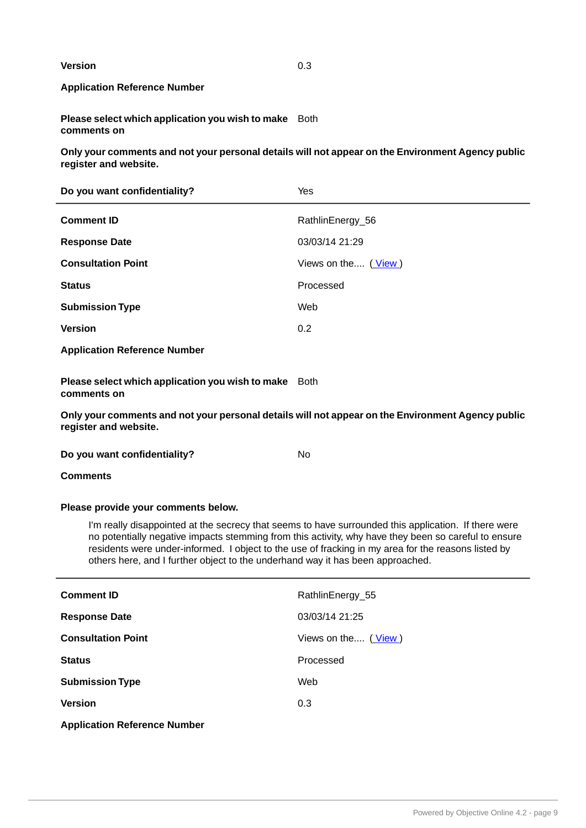**Version** 0.3

# **Application Reference Number**

**Please select which application you wish to make** Both **comments on**

**Only your comments and not your personal details will not appear on the Environment Agency public register and website.**

| Do you want confidentiality?                                                                                                                                                                                                                                                                                                                                                                          | Yes                 |  |
|-------------------------------------------------------------------------------------------------------------------------------------------------------------------------------------------------------------------------------------------------------------------------------------------------------------------------------------------------------------------------------------------------------|---------------------|--|
| <b>Comment ID</b>                                                                                                                                                                                                                                                                                                                                                                                     | RathlinEnergy_56    |  |
| <b>Response Date</b>                                                                                                                                                                                                                                                                                                                                                                                  | 03/03/14 21:29      |  |
| <b>Consultation Point</b>                                                                                                                                                                                                                                                                                                                                                                             | Views on the (View) |  |
| <b>Status</b>                                                                                                                                                                                                                                                                                                                                                                                         | Processed           |  |
| <b>Submission Type</b>                                                                                                                                                                                                                                                                                                                                                                                | Web                 |  |
| <b>Version</b>                                                                                                                                                                                                                                                                                                                                                                                        | 0.2                 |  |
| <b>Application Reference Number</b>                                                                                                                                                                                                                                                                                                                                                                   |                     |  |
| Please select which application you wish to make Both<br>comments on                                                                                                                                                                                                                                                                                                                                  |                     |  |
| Only your comments and not your personal details will not appear on the Environment Agency public<br>register and website.                                                                                                                                                                                                                                                                            |                     |  |
| Do you want confidentiality?                                                                                                                                                                                                                                                                                                                                                                          | <b>No</b>           |  |
| <b>Comments</b>                                                                                                                                                                                                                                                                                                                                                                                       |                     |  |
| Please provide your comments below.                                                                                                                                                                                                                                                                                                                                                                   |                     |  |
| I'm really disappointed at the secrecy that seems to have surrounded this application. If there were<br>no potentially negative impacts stemming from this activity, why have they been so careful to ensure<br>residents were under-informed. I object to the use of fracking in my area for the reasons listed by<br>others here, and I further object to the underhand way it has been approached. |                     |  |
| <b>Comment ID</b>                                                                                                                                                                                                                                                                                                                                                                                     | RathlinEnergy_55    |  |
| <b>Response Date</b>                                                                                                                                                                                                                                                                                                                                                                                  | 03/03/14 21:25      |  |
| <b>Consultation Point</b>                                                                                                                                                                                                                                                                                                                                                                             | Views on the (View) |  |
| <b>Status</b>                                                                                                                                                                                                                                                                                                                                                                                         | Processed           |  |

**Application Reference Number**

**Submission Type** Web

**Version** 0.3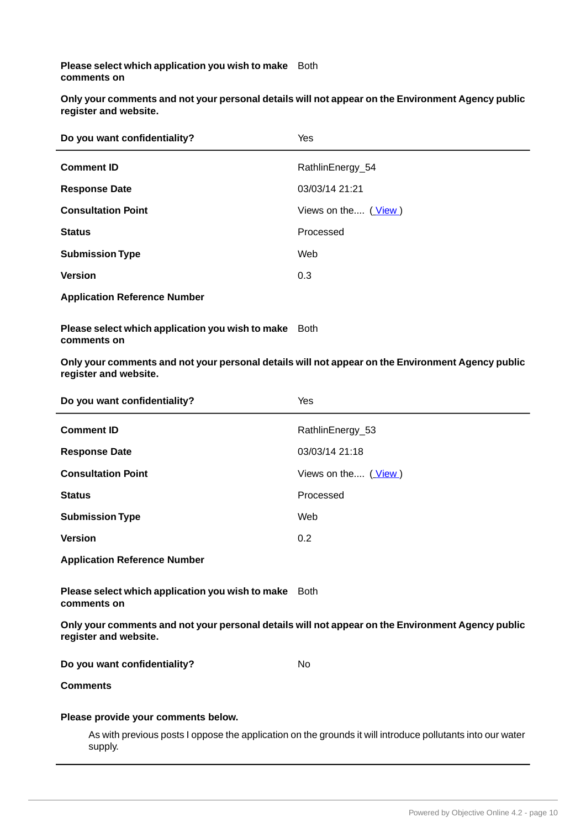**Please select which application you wish to make** Both **comments on**

**Only your comments and not your personal details will not appear on the Environment Agency public register and website.**

| Do you want confidentiality?        | Yes                 |
|-------------------------------------|---------------------|
| <b>Comment ID</b>                   | RathlinEnergy_54    |
| <b>Response Date</b>                | 03/03/14 21:21      |
| <b>Consultation Point</b>           | Views on the (View) |
| <b>Status</b>                       | Processed           |
| <b>Submission Type</b>              | Web                 |
| <b>Version</b>                      | 0.3                 |
| <b>Application Reference Number</b> |                     |

**Please select which application you wish to make** Both **comments on**

| Do you want confidentiality?                                                                                               | Yes                 |  |
|----------------------------------------------------------------------------------------------------------------------------|---------------------|--|
| <b>Comment ID</b>                                                                                                          | RathlinEnergy_53    |  |
| <b>Response Date</b>                                                                                                       | 03/03/14 21:18      |  |
| <b>Consultation Point</b>                                                                                                  | Views on the (View) |  |
| <b>Status</b>                                                                                                              | Processed           |  |
| <b>Submission Type</b>                                                                                                     | Web                 |  |
| <b>Version</b>                                                                                                             | 0.2                 |  |
| <b>Application Reference Number</b>                                                                                        |                     |  |
| Please select which application you wish to make Both<br>comments on                                                       |                     |  |
| Only your comments and not your personal details will not appear on the Environment Agency public<br>register and website. |                     |  |
| Do you want confidentiality?                                                                                               | <b>No</b>           |  |
| <b>Comments</b>                                                                                                            |                     |  |
| Please provide your comments below.                                                                                        |                     |  |
| As with previous posts I oppose the application on the grounds it will introduce pollutants into our water<br>supply.      |                     |  |